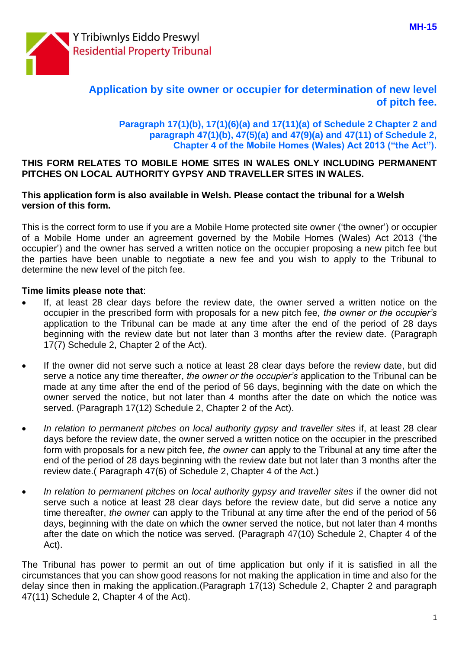

# **Application by site owner or occupier for determination of new level of pitch fee.**

## **Paragraph 17(1)(b), 17(1)(6)(a) and 17(11)(a) of Schedule 2 Chapter 2 and paragraph 47(1)(b), 47(5)(a) and 47(9)(a) and 47(11) of Schedule 2, Chapter 4 of the Mobile Homes (Wales) Act 2013 ("the Act").**

### **THIS FORM RELATES TO MOBILE HOME SITES IN WALES ONLY INCLUDING PERMANENT PITCHES ON LOCAL AUTHORITY GYPSY AND TRAVELLER SITES IN WALES.**

## **This application form is also available in Welsh. Please contact the tribunal for a Welsh version of this form.**

This is the correct form to use if you are a Mobile Home protected site owner ('the owner') or occupier of a Mobile Home under an agreement governed by the Mobile Homes (Wales) Act 2013 ('the occupier') and the owner has served a written notice on the occupier proposing a new pitch fee but the parties have been unable to negotiate a new fee and you wish to apply to the Tribunal to determine the new level of the pitch fee.

## **Time limits please note that**:

- If, at least 28 clear days before the review date, the owner served a written notice on the occupier in the prescribed form with proposals for a new pitch fee*, the owner or the occupier's*  application to the Tribunal can be made at any time after the end of the period of 28 days beginning with the review date but not later than 3 months after the review date. (Paragraph 17(7) Schedule 2, Chapter 2 of the Act).
- If the owner did not serve such a notice at least 28 clear days before the review date, but did serve a notice any time thereafter, *the owner or the occupier's* application to the Tribunal can be made at any time after the end of the period of 56 days, beginning with the date on which the owner served the notice, but not later than 4 months after the date on which the notice was served. (Paragraph 17(12) Schedule 2, Chapter 2 of the Act).
- *In relation to permanent pitches on local authority gypsy and traveller sites* if, at least 28 clear days before the review date, the owner served a written notice on the occupier in the prescribed form with proposals for a new pitch fee, *the owner* can apply to the Tribunal at any time after the end of the period of 28 days beginning with the review date but not later than 3 months after the review date.( Paragraph 47(6) of Schedule 2, Chapter 4 of the Act.)
- In relation to permanent pitches on local authority gypsy and traveller sites if the owner did not serve such a notice at least 28 clear days before the review date, but did serve a notice any time thereafter, *the owner* can apply to the Tribunal at any time after the end of the period of 56 days, beginning with the date on which the owner served the notice, but not later than 4 months after the date on which the notice was served. (Paragraph 47(10) Schedule 2, Chapter 4 of the Act).

The Tribunal has power to permit an out of time application but only if it is satisfied in all the circumstances that you can show good reasons for not making the application in time and also for the delay since then in making the application.(Paragraph 17(13) Schedule 2, Chapter 2 and paragraph 47(11) Schedule 2, Chapter 4 of the Act).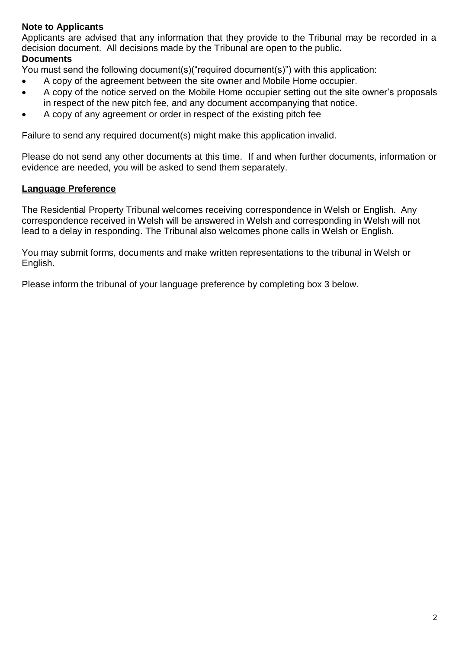## **Note to Applicants**

Applicants are advised that any information that they provide to the Tribunal may be recorded in a decision document. All decisions made by the Tribunal are open to the public**.**

## **Documents**

You must send the following document(s)("required document(s)") with this application:

- A copy of the agreement between the site owner and Mobile Home occupier.
- A copy of the notice served on the Mobile Home occupier setting out the site owner's proposals in respect of the new pitch fee, and any document accompanying that notice.
- A copy of any agreement or order in respect of the existing pitch fee

Failure to send any required document(s) might make this application invalid.

Please do not send any other documents at this time. If and when further documents, information or evidence are needed, you will be asked to send them separately.

## **Language Preference**

The Residential Property Tribunal welcomes receiving correspondence in Welsh or English. Any correspondence received in Welsh will be answered in Welsh and corresponding in Welsh will not lead to a delay in responding. The Tribunal also welcomes phone calls in Welsh or English.

You may submit forms, documents and make written representations to the tribunal in Welsh or English.

Please inform the tribunal of your language preference by completing box 3 below.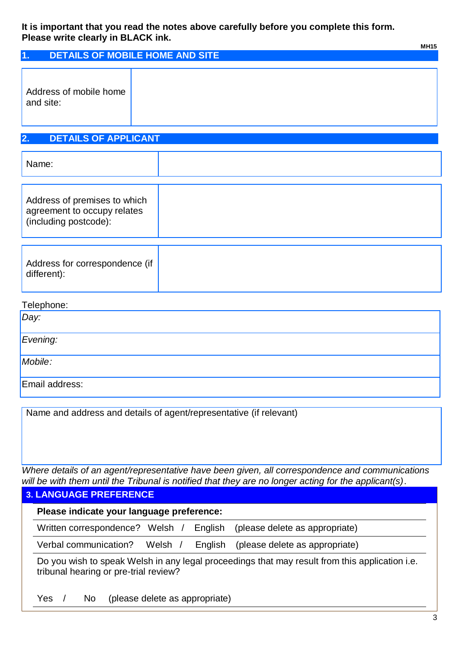### **It is important that you read the notes above carefully before you complete this form. Please write clearly in BLACK ink.**

|                                     | <b>MH15</b>                     |
|-------------------------------------|---------------------------------|
| 1 <sub>1</sub>                      | DETAILS OF MOBILE HOME AND SITE |
| Address of mobile home<br>and site: |                                 |

# **2. DETAILS OF APPLICANT**

| Name:                                                                                |  |
|--------------------------------------------------------------------------------------|--|
| Address of premises to which<br>agreement to occupy relates<br>(including postcode): |  |

| Address for correspondence (if |
|--------------------------------|
|                                |

#### Telephone:

| Day:           |  |
|----------------|--|
| Evening:       |  |
| Mobile:        |  |
| Email address: |  |

Name and address and details of agent/representative (if relevant)

*Where details of an agent/representative have been given, all correspondence and communications will be with them until the Tribunal is notified that they are no longer acting for the applicant(s)*.

## **3. LANGUAGE PREFERENCE**

| Please indicate your language preference:                                                                                               |                                |  |  |  |
|-----------------------------------------------------------------------------------------------------------------------------------------|--------------------------------|--|--|--|
| Written correspondence?<br>(please delete as appropriate)<br>Welsh /<br><b>English</b>                                                  |                                |  |  |  |
| Verbal communication?<br>Welsh /<br>(please delete as appropriate)<br>English                                                           |                                |  |  |  |
| Do you wish to speak Welsh in any legal proceedings that may result from this application i.e.<br>tribunal hearing or pre-trial review? |                                |  |  |  |
| Yes<br>No.                                                                                                                              | (please delete as appropriate) |  |  |  |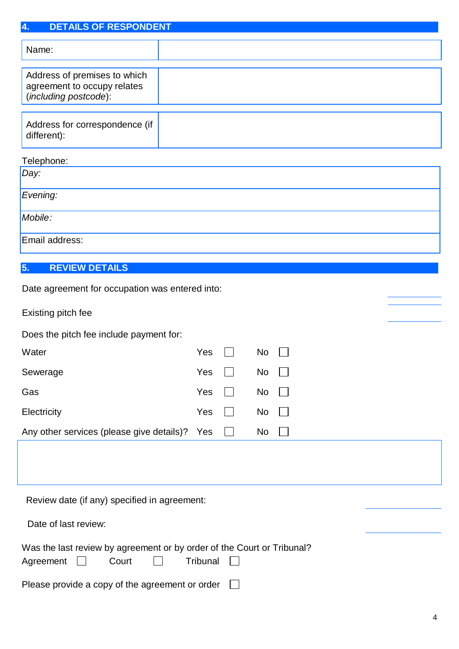| <b>DETAILS OF RESPONDENT</b><br>4.                                                   |     |           |  |
|--------------------------------------------------------------------------------------|-----|-----------|--|
| Name:                                                                                |     |           |  |
| Address of premises to which<br>agreement to occupy relates<br>(including postcode): |     |           |  |
| Address for correspondence (if<br>different):                                        |     |           |  |
| Telephone:                                                                           |     |           |  |
| Day:                                                                                 |     |           |  |
| Evening:                                                                             |     |           |  |
| Mobile:                                                                              |     |           |  |
| Email address:                                                                       |     |           |  |
| <b>REVIEW DETAILS</b><br>5.                                                          |     |           |  |
| Date agreement for occupation was entered into:                                      |     |           |  |
| Existing pitch fee                                                                   |     |           |  |
| Does the pitch fee include payment for:                                              |     |           |  |
| Water                                                                                | Yes | <b>No</b> |  |
| Sewerage                                                                             | Yes | No        |  |

| Any other services (please give details)? Yes $\Box$ |  | <b>No</b> |
|------------------------------------------------------|--|-----------|
|                                                      |  |           |

Gas Yes No

Electricity Monte President President President President President President President President President Pr

Review date (if any) specified in agreement:

| Date of last review: |  |
|----------------------|--|
|                      |  |

| Was the last review by agreement or by order of the Court or Tribunal? |       |          |  |
|------------------------------------------------------------------------|-------|----------|--|
| Agreement $\Box$                                                       | Court | Tribunal |  |

| Please provide a copy of the agreement or order $\Box$ |  |
|--------------------------------------------------------|--|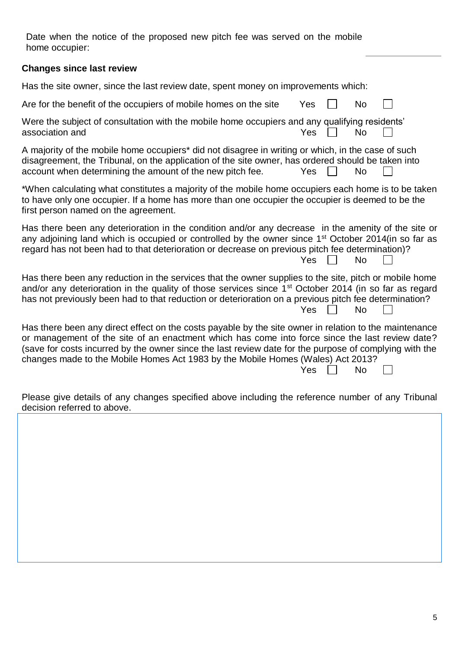Date when the notice of the proposed new pitch fee was served on the mobile home occupier:

## **Changes since last review**

Has the site owner, since the last review date, spent money on improvements which:

| Are for the benefit of the occupiers of mobile homes on the site | Yes $\Box$ | No | $\Box$ |
|------------------------------------------------------------------|------------|----|--------|
|                                                                  |            |    |        |

Were the subject of consultation with the mobile home occupiers and any qualifying residents' association and  $Y$ es  $\P$  No

A majority of the mobile home occupiers\* did not disagree in writing or which, in the case of such disagreement, the Tribunal, on the application of the site owner, has ordered should be taken into account when determining the amount of the new pitch fee.  $Yes \cap No$ 

\*When calculating what constitutes a majority of the mobile home occupiers each home is to be taken to have only one occupier. If a home has more than one occupier the occupier is deemed to be the first person named on the agreement.

Has there been any deterioration in the condition and/or any decrease in the amenity of the site or any adjoining land which is occupied or controlled by the owner since 1<sup>st</sup> October 2014(in so far as regard has not been had to that deterioration or decrease on previous pitch fee determination)?  $Yes \Box No$ 

Has there been any reduction in the services that the owner supplies to the site, pitch or mobile home and/or any deterioration in the quality of those services since 1<sup>st</sup> October 2014 (in so far as regard has not previously been had to that reduction or deterioration on a previous pitch fee determination?  $Yes \Box No$ 

Has there been any direct effect on the costs payable by the site owner in relation to the maintenance or management of the site of an enactment which has come into force since the last review date? (save for costs incurred by the owner since the last review date for the purpose of complying with the changes made to the Mobile Homes Act 1983 by the Mobile Homes (Wales) Act 2013?

Yes  $\Box$  No  $\Box$ 

Please give details of any changes specified above including the reference number of any Tribunal decision referred to above.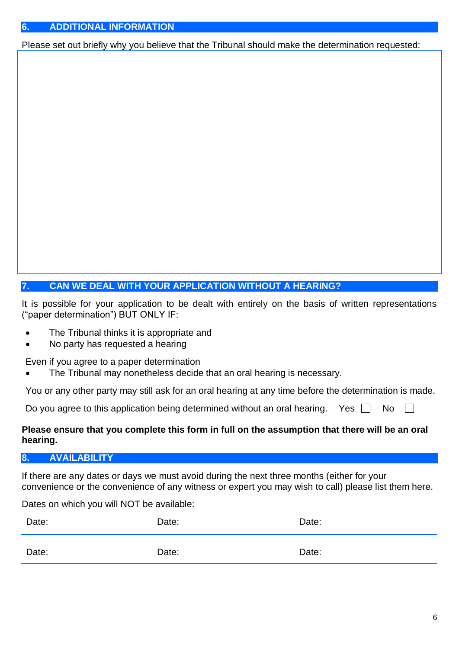Please set out briefly why you believe that the Tribunal should make the determination requested:

# **7. CAN WE DEAL WITH YOUR APPLICATION WITHOUT A HEARING?**

It is possible for your application to be dealt with entirely on the basis of written representations ("paper determination") BUT ONLY IF:

- The Tribunal thinks it is appropriate and
- No party has requested a hearing

Even if you agree to a paper determination

The Tribunal may nonetheless decide that an oral hearing is necessary.

You or any other party may still ask for an oral hearing at any time before the determination is made.

Do you agree to this application being determined without an oral hearing. Yes  $\Box$  No  $\Box$ 

## **Please ensure that you complete this form in full on the assumption that there will be an oral hearing.**

# **8. AVAILABILITY**

If there are any dates or days we must avoid during the next three months (either for your convenience or the convenience of any witness or expert you may wish to call) please list them here.

Dates on which you will NOT be available:

| Date: | Date: | Date: |
|-------|-------|-------|
| Date: | Date: | Date: |